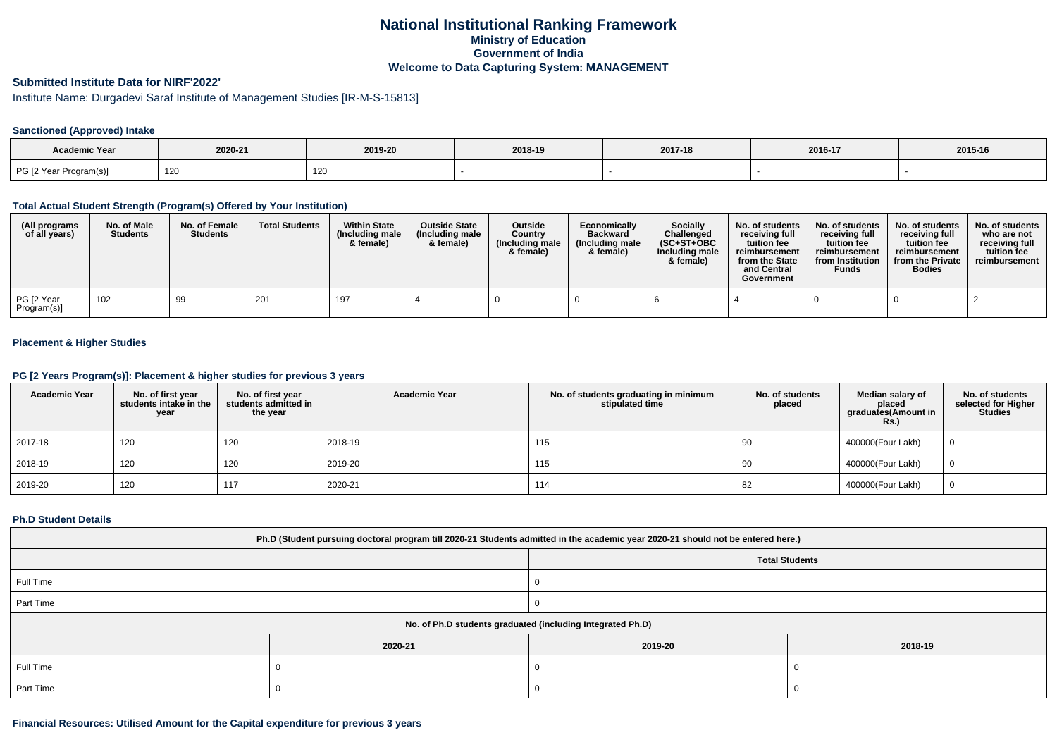# **National Institutional Ranking FrameworkMinistry of Education Government of IndiaWelcome to Data Capturing System: MANAGEMENT**

### **Submitted Institute Data for NIRF'2022'**

# Institute Name: Durgadevi Saraf Institute of Management Studies [IR-M-S-15813]

#### **Sanctioned (Approved) Intake**

| Academic Year          |         |         |         |         |         |         |
|------------------------|---------|---------|---------|---------|---------|---------|
|                        | 2020-21 | 2019-20 | 2018-19 | 2017-18 | 2016-17 | 2015-16 |
| PG [2 Year Program(s)] | 120     | 120     |         |         |         |         |

### **Total Actual Student Strength (Program(s) Offered by Your Institution)**

| (All programs<br>of all years) | No. of Male<br><b>Students</b> | No. of Female<br><b>Students</b> | <b>Total Students</b> | <b>Within State</b><br>(Including male<br>& female) | <b>Outside State</b><br>(Including male<br>& female) | Outside<br>Country<br>(Including male<br>& female) | Economically<br><b>Backward</b><br>(Including male<br>& female) | <b>Socially</b><br>Challenged<br>$(SC+ST+OBC$<br>Including male<br>& female) | No. of students<br>receivina full<br>tuition fee<br>reimbursement<br>from the State<br>and Central<br>Government | No. of students<br>receiving full<br>tuition fee<br>reimbursement<br>from Institution<br><b>Funds</b> | No. of students<br>receiving full<br>tuition fee<br>reimbursement<br>from the Private<br><b>Bodies</b> | No. of students  <br>who are not<br>receivina full<br>tuition fee<br>reimbursement |
|--------------------------------|--------------------------------|----------------------------------|-----------------------|-----------------------------------------------------|------------------------------------------------------|----------------------------------------------------|-----------------------------------------------------------------|------------------------------------------------------------------------------|------------------------------------------------------------------------------------------------------------------|-------------------------------------------------------------------------------------------------------|--------------------------------------------------------------------------------------------------------|------------------------------------------------------------------------------------|
| PG [2 Year<br>Program(s)]      | 102                            | 99                               | 201                   | 197                                                 |                                                      |                                                    |                                                                 |                                                                              |                                                                                                                  |                                                                                                       |                                                                                                        |                                                                                    |

## **Placement & Higher Studies**

## **PG [2 Years Program(s)]: Placement & higher studies for previous 3 years**

| <b>Academic Year</b> | No. of first year<br>students intake in the<br>year | No. of first year<br>students admitted in<br>the year | <b>Academic Year</b> | No. of students graduating in minimum<br>stipulated time | No. of students<br>placed | Median salary of<br>placed<br>graduates(Amount in<br><b>Rs.)</b> | No. of students<br>selected for Higher<br><b>Studies</b> |
|----------------------|-----------------------------------------------------|-------------------------------------------------------|----------------------|----------------------------------------------------------|---------------------------|------------------------------------------------------------------|----------------------------------------------------------|
| 2017-18              | 120                                                 | 120                                                   | 2018-19              | 115                                                      | 90                        | 400000(Four Lakh)                                                |                                                          |
| 2018-19              | 120                                                 | 120                                                   | 2019-20              | 115                                                      | 90                        | 400000(Four Lakh)                                                |                                                          |
| 2019-20              | 120                                                 | 117                                                   | 2020-21              | 114                                                      | 82                        | 400000(Four Lakh)                                                |                                                          |

#### **Ph.D Student Details**

| Ph.D (Student pursuing doctoral program till 2020-21 Students admitted in the academic year 2020-21 should not be entered here.) |                                                            |                       |         |  |  |  |  |
|----------------------------------------------------------------------------------------------------------------------------------|------------------------------------------------------------|-----------------------|---------|--|--|--|--|
|                                                                                                                                  |                                                            | <b>Total Students</b> |         |  |  |  |  |
| Full Time                                                                                                                        |                                                            |                       |         |  |  |  |  |
| Part Time                                                                                                                        |                                                            |                       |         |  |  |  |  |
|                                                                                                                                  | No. of Ph.D students graduated (including Integrated Ph.D) |                       |         |  |  |  |  |
|                                                                                                                                  | 2020-21                                                    | 2019-20               | 2018-19 |  |  |  |  |
| Full Time                                                                                                                        |                                                            |                       |         |  |  |  |  |
| Part Time                                                                                                                        |                                                            |                       |         |  |  |  |  |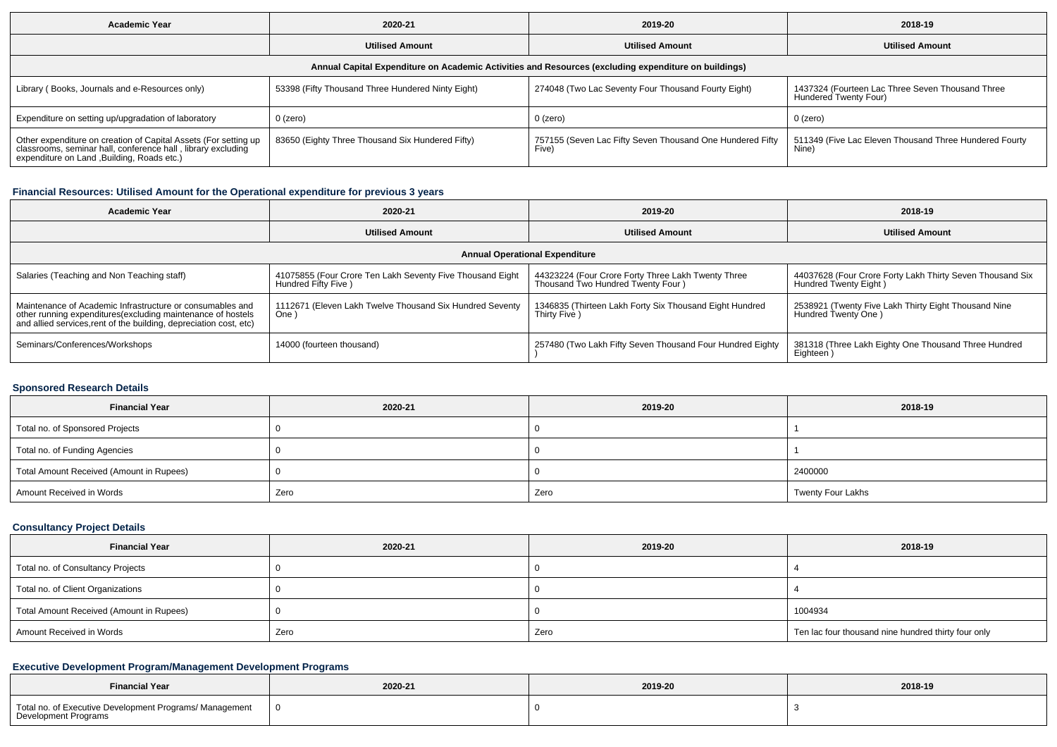| <b>Academic Year</b>                                                                                                                                                        | 2020-21                                           | 2019-20                                                            | 2018-19                                                                   |  |  |  |  |  |
|-----------------------------------------------------------------------------------------------------------------------------------------------------------------------------|---------------------------------------------------|--------------------------------------------------------------------|---------------------------------------------------------------------------|--|--|--|--|--|
|                                                                                                                                                                             | <b>Utilised Amount</b>                            | <b>Utilised Amount</b>                                             | <b>Utilised Amount</b>                                                    |  |  |  |  |  |
| Annual Capital Expenditure on Academic Activities and Resources (excluding expenditure on buildings)                                                                        |                                                   |                                                                    |                                                                           |  |  |  |  |  |
| Library (Books, Journals and e-Resources only)                                                                                                                              | 53398 (Fifty Thousand Three Hundered Ninty Eight) | 274048 (Two Lac Seventy Four Thousand Fourty Eight)                | 1437324 (Fourteen Lac Three Seven Thousand Three<br>Hundered Twenty Four) |  |  |  |  |  |
| Expenditure on setting up/upgradation of laboratory                                                                                                                         | $0$ (zero)                                        | 0 (zero)                                                           | 0 (zero)                                                                  |  |  |  |  |  |
| Other expenditure on creation of Capital Assets (For setting up classrooms, seminar hall, conference hall, library excluding<br>expenditure on Land , Building, Roads etc.) | 83650 (Eighty Three Thousand Six Hundered Fifty)  | 757155 (Seven Lac Fifty Seven Thousand One Hundered Fifty<br>Five) | 511349 (Five Lac Eleven Thousand Three Hundered Fourty<br>Nine)           |  |  |  |  |  |

## **Financial Resources: Utilised Amount for the Operational expenditure for previous 3 years**

| <b>Academic Year</b>                                                                                                                                                                           | 2020-21                                                                           | 2019-20                                                                                 | 2018-19                                                                            |  |  |  |  |  |
|------------------------------------------------------------------------------------------------------------------------------------------------------------------------------------------------|-----------------------------------------------------------------------------------|-----------------------------------------------------------------------------------------|------------------------------------------------------------------------------------|--|--|--|--|--|
|                                                                                                                                                                                                | <b>Utilised Amount</b>                                                            | <b>Utilised Amount</b>                                                                  | <b>Utilised Amount</b>                                                             |  |  |  |  |  |
| <b>Annual Operational Expenditure</b>                                                                                                                                                          |                                                                                   |                                                                                         |                                                                                    |  |  |  |  |  |
| Salaries (Teaching and Non Teaching staff)                                                                                                                                                     | 41075855 (Four Crore Ten Lakh Seventy Five Thousand Eight<br>Hundred Fifty Five ) | 44323224 (Four Crore Forty Three Lakh Twenty Three<br>Thousand Two Hundred Twenty Four) | 44037628 (Four Crore Forty Lakh Thirty Seven Thousand Six<br>Hundred Twenty Eight) |  |  |  |  |  |
| Maintenance of Academic Infrastructure or consumables and<br>other running expenditures(excluding maintenance of hostels<br>and allied services, rent of the building, depreciation cost, etc) | 1112671 (Eleven Lakh Twelve Thousand Six Hundred Seventy<br>One)                  | 1346835 (Thirteen Lakh Forty Six Thousand Eight Hundred<br>Thirty Five )                | 2538921 (Twenty Five Lakh Thirty Eight Thousand Nine<br>Hundred Twenty One)        |  |  |  |  |  |
| Seminars/Conferences/Workshops                                                                                                                                                                 | 14000 (fourteen thousand)                                                         | 257480 (Two Lakh Fifty Seven Thousand Four Hundred Eighty                               | 381318 (Three Lakh Eighty One Thousand Three Hundred<br>Eighteen                   |  |  |  |  |  |

## **Sponsored Research Details**

| <b>Financial Year</b>                    | 2020-21 | 2019-20 | 2018-19           |  |
|------------------------------------------|---------|---------|-------------------|--|
| Total no. of Sponsored Projects          |         |         |                   |  |
| Total no. of Funding Agencies            |         |         |                   |  |
| Total Amount Received (Amount in Rupees) |         |         | 2400000           |  |
| Amount Received in Words                 | Zero    | Zero    | Twenty Four Lakhs |  |

## **Consultancy Project Details**

| <b>Financial Year</b>                    | 2020-21 | 2019-20 | 2018-19                                             |  |
|------------------------------------------|---------|---------|-----------------------------------------------------|--|
| Total no. of Consultancy Projects        |         |         |                                                     |  |
| Total no. of Client Organizations        |         |         |                                                     |  |
| Total Amount Received (Amount in Rupees) |         |         | 1004934                                             |  |
| Amount Received in Words                 | Zero    | Zero    | Ten lac four thousand nine hundred thirty four only |  |

## **Executive Development Program/Management Development Programs**

| <b>Financial Year</b>                                                           | 2020-21 | 2019-20 | 2018-19 |
|---------------------------------------------------------------------------------|---------|---------|---------|
| Total no. of Executive Development Programs/ Management<br>Development Programs |         |         |         |